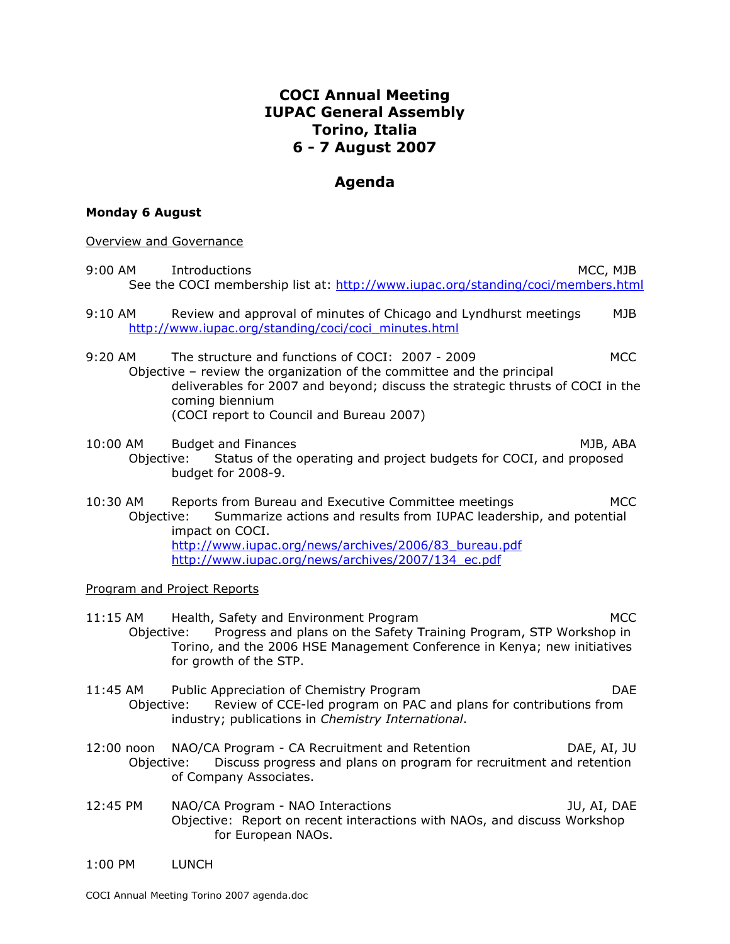## **COCI Annual Meeting IUPAC General Assembly Torino, Italia 6 - 7 August 2007**

## **Agenda**

## **Monday 6 August**

Overview and Governance

- 9:00 AM Introductions and the set of the set of the set of the set of the set of the set of the set of the set of the set of the set of the set of the set of the set of the set of the set of the set of the set of the set o See the COCI membership list at: http://www.iupac.org/standing/coci/members.html 9:10 AM Review and approval of minutes of Chicago and Lyndhurst meetings MJB http://www.iupac.org/standing/coci/coci\_minutes.html 9:20 AM The structure and functions of COCI: 2007 - 2009 MCC Objective – review the organization of the committee and the principal deliverables for 2007 and beyond; discuss the strategic thrusts of COCI in the coming biennium (COCI report to Council and Bureau 2007) 10:00 AM Budget and Finances **MJB**, ABA Objective: Status of the operating and project budgets for COCI, and proposed budget for 2008-9. 10:30 AM Reports from Bureau and Executive Committee meetings MCC Objective: Summarize actions and results from IUPAC leadership, and potential impact on COCI. http://www.iupac.org/news/archives/2006/83\_bureau.pdf http://www.iupac.org/news/archives/2007/134\_ec.pdf Program and Project Reports 11:15 AM Health, Safety and Environment Program MCC Objective: Progress and plans on the Safety Training Program, STP Workshop in Torino, and the 2006 HSE Management Conference in Kenya; new initiatives for growth of the STP. 11:45 AM Public Appreciation of Chemistry Program DAE Objective: Review of CCE-led program on PAC and plans for contributions from industry; publications in *Chemistry International*. 12:00 noon NAO/CA Program - CA Recruitment and Retention DAE, AI, JU Objective: Discuss progress and plans on program for recruitment and retention of Company Associates. 12:45 PM NAO/CA Program - NAO Interactions The Manuscriptum of the Manuscriptum of the Manuscriptum of the Manuscriptum of the Manuscriptum of the Manuscriptum of the Manuscriptum of the Manuscriptum of the Manuscriptum of Objective: Report on recent interactions with NAOs, and discuss Workshop for European NAOs.
- 1:00 PM LUNCH